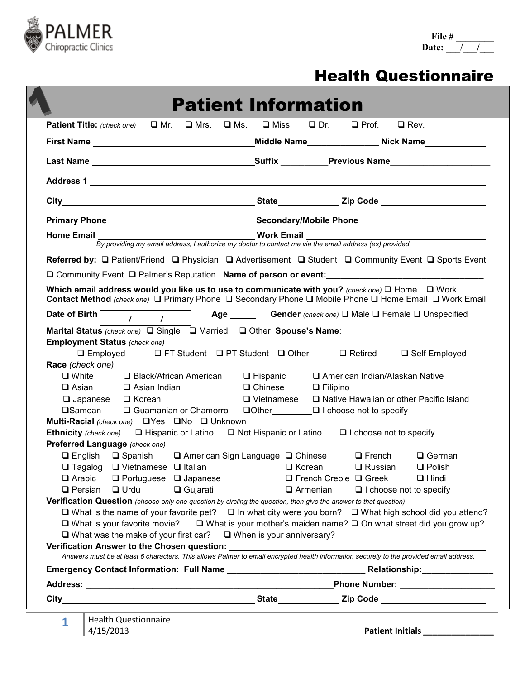

### Health Questionnaire

|                                                                                                                                                                                                                     |                                                                                                                                                                                                                                                                                                                                                                | <b>Patient Information</b>                              |                                                                                                                                                                                                                                                                                                                                                                                                                                                                                                                                                                                                                                                                                                                                                                |
|---------------------------------------------------------------------------------------------------------------------------------------------------------------------------------------------------------------------|----------------------------------------------------------------------------------------------------------------------------------------------------------------------------------------------------------------------------------------------------------------------------------------------------------------------------------------------------------------|---------------------------------------------------------|----------------------------------------------------------------------------------------------------------------------------------------------------------------------------------------------------------------------------------------------------------------------------------------------------------------------------------------------------------------------------------------------------------------------------------------------------------------------------------------------------------------------------------------------------------------------------------------------------------------------------------------------------------------------------------------------------------------------------------------------------------------|
|                                                                                                                                                                                                                     |                                                                                                                                                                                                                                                                                                                                                                |                                                         | Patient Title: (check one) □ Mr. □ Mrs. □ Ms. □ Miss □ Dr. □ Prof. □ Rev.                                                                                                                                                                                                                                                                                                                                                                                                                                                                                                                                                                                                                                                                                      |
|                                                                                                                                                                                                                     | First Name that the state of the state of the state of the state of the state of the state of the state of the                                                                                                                                                                                                                                                 |                                                         | _Middle Name___________________Nick Name______________                                                                                                                                                                                                                                                                                                                                                                                                                                                                                                                                                                                                                                                                                                         |
|                                                                                                                                                                                                                     |                                                                                                                                                                                                                                                                                                                                                                |                                                         |                                                                                                                                                                                                                                                                                                                                                                                                                                                                                                                                                                                                                                                                                                                                                                |
|                                                                                                                                                                                                                     |                                                                                                                                                                                                                                                                                                                                                                |                                                         |                                                                                                                                                                                                                                                                                                                                                                                                                                                                                                                                                                                                                                                                                                                                                                |
|                                                                                                                                                                                                                     |                                                                                                                                                                                                                                                                                                                                                                |                                                         |                                                                                                                                                                                                                                                                                                                                                                                                                                                                                                                                                                                                                                                                                                                                                                |
|                                                                                                                                                                                                                     |                                                                                                                                                                                                                                                                                                                                                                |                                                         |                                                                                                                                                                                                                                                                                                                                                                                                                                                                                                                                                                                                                                                                                                                                                                |
|                                                                                                                                                                                                                     |                                                                                                                                                                                                                                                                                                                                                                |                                                         | Home Email <i>By providing my email address, I authorize my doctor to contact me via the email address (es) provided.</i>                                                                                                                                                                                                                                                                                                                                                                                                                                                                                                                                                                                                                                      |
|                                                                                                                                                                                                                     |                                                                                                                                                                                                                                                                                                                                                                |                                                         | Referred by: □ Patient/Friend □ Physician □ Advertisement □ Student □ Community Event □ Sports Event<br>□ Community Event □ Palmer's Reputation Name of person or event:<br>Which email address would you like us to use to communicate with you? (check one) $\Box$ Home $\Box$ Work<br>Contact Method (check one) □ Primary Phone □ Secondary Phone □ Mobile Phone □ Home Email □ Work Email                                                                                                                                                                                                                                                                                                                                                                 |
| Date of Birth                                                                                                                                                                                                       | $\frac{1}{\sqrt{2}}$ $\frac{1}{\sqrt{2}}$                                                                                                                                                                                                                                                                                                                      |                                                         | Age <b>Gender</b> (check one) $\Box$ Male $\Box$ Female $\Box$ Unspecified                                                                                                                                                                                                                                                                                                                                                                                                                                                                                                                                                                                                                                                                                     |
| <b>Employment Status (check one)</b><br>Race (check one)<br>$\Box$ White<br>$\square$ Asian<br><b>□Samoan</b><br>Preferred Language (check one)<br>$\Box$ English<br>$\Box$ Arabic<br>$\Box$ Persian<br>$\Box$ Urdu | $\Box$ Black/African American $\Box$ Hispanic<br>$\Box$ Asian Indian<br>$\Box$ Japanese $\Box$ Korean<br>$\Box$ Guamanian or Chamorro<br>Multi-Racial (check one) OYes ONo O Unknown<br>$\Box$ Spanish $\Box$ American Sign Language $\Box$ Chinese<br>$\Box$ Tagalog $\Box$ Vietnamese $\Box$ Italian<br>$\Box$ Portuguese $\Box$ Japanese<br>$\Box$ Gujarati | $\Box$ Chinese<br>$\Box$ Vietnamese<br>$\square$ Korean | □ Employed □ FT Student □ PT Student □ Other □ Retired □ Self Employed<br>□ American Indian/Alaskan Native<br>$\Box$ Filipino<br>□ Native Hawaiian or other Pacific Island<br>$\Box$ Other $\Box$ I choose not to specify<br><b>Ethnicity</b> (check one) $\Box$ Hispanic or Latino $\Box$ Not Hispanic or Latino $\Box$ I choose not to specify<br>$\Box$ French<br>$\Box$ German<br>$\square$ Russian<br>$\Box$ Polish<br>$\Box$ French Creole $\Box$ Greek<br>$\Box$ Hindi<br>$\Box$ Armenian<br>□ I choose not to specify<br>Verification Question (choose only one question by circling the question, then give the answer to that question)<br>□ What is the name of your favorite pet? □ In what city were you born? □ What high school did you attend? |
|                                                                                                                                                                                                                     | $\Box$ What was the make of your first car? $\Box$ When is your anniversary?                                                                                                                                                                                                                                                                                   |                                                         | □ What is your favorite movie? □ What is your mother's maiden name? □ On what street did you grow up?<br>Answers must be at least 6 characters. This allows Palmer to email encrypted health information securely to the provided email address.<br>Phone Number: ____________________                                                                                                                                                                                                                                                                                                                                                                                                                                                                         |
| <b>Health Questionnaire</b><br>1<br>4/15/2013                                                                                                                                                                       |                                                                                                                                                                                                                                                                                                                                                                |                                                         | Patient Initials ________________                                                                                                                                                                                                                                                                                                                                                                                                                                                                                                                                                                                                                                                                                                                              |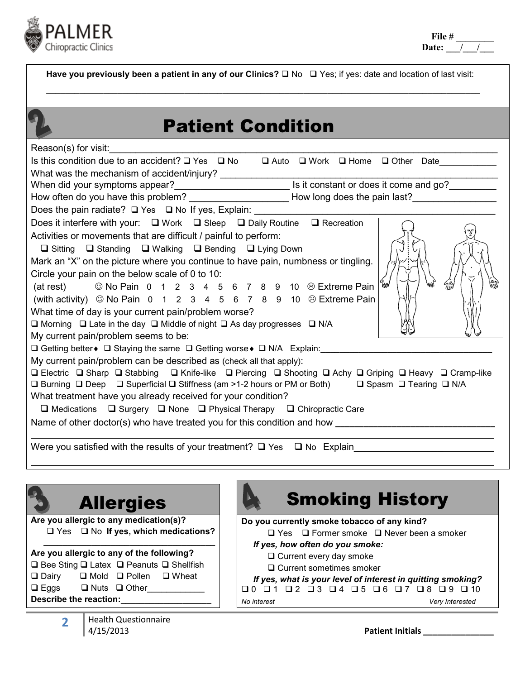

Have you previously been a patient in any of our Clinics?  $\Box$  No  $\Box$  Yes; if yes: date and location of last visit: **\_\_\_\_\_\_\_\_\_\_\_\_\_\_\_\_\_\_\_\_\_\_\_\_\_\_\_\_\_\_\_\_\_\_\_\_\_\_\_\_\_\_\_\_\_\_\_\_\_\_\_\_\_\_\_\_\_\_\_\_\_\_\_\_\_\_\_\_\_\_\_\_\_\_\_\_\_\_\_\_\_\_\_\_\_\_\_\_\_\_\_**

## Patient Condition

| Reason(s) for visit:                                                                                           |
|----------------------------------------------------------------------------------------------------------------|
| Is this condition due to an accident? □ Yes □ No □ Auto □ Work □ Home □ Other Date                             |
| What was the mechanism of accident/injury?<br>When did your symptoms appear?<br>Note and go?                   |
|                                                                                                                |
| How often do you have this problem? ______________________How long does the pain last?________________________ |
| Does the pain radiate? □ Yes □ No If yes, Explain: _____________________________                               |
| Does it interfere with your: $\Box$ Work $\Box$ Sleep $\Box$ Daily Routine $\Box$ Recreation                   |
| Activities or movements that are difficult / painful to perform:                                               |
| $\Box$ Sitting $\Box$ Standing $\Box$ Walking $\Box$ Bending $\Box$ Lying Down                                 |
| Mark an "X" on the picture where you continue to have pain, numbness or tingling.                              |
| Circle your pain on the below scale of 0 to 10:                                                                |
| (at rest) $\circledcirc$ No Pain 0 1 2 3 4 5 6 7 8 9 10 $\circledcirc$ Extreme Pain<br>ั⊯⊌                     |
| (with activity) $\odot$ No Pain 0 1 2 3 4 5 6 7 8 9 10 $\odot$ Extreme Pain                                    |
| What time of day is your current pain/problem worse?                                                           |
| $\Box$ Morning $\Box$ Late in the day $\Box$ Middle of night $\Box$ As day progresses $\Box$ N/A               |
| My current pain/problem seems to be:                                                                           |
| □ Getting better • □ Staying the same □ Getting worse • □ N/A Explain: ________                                |
| My current pain/problem can be described as (check all that apply):                                            |
| □ Electric □ Sharp □ Stabbing □ Knife-like □ Piercing □ Shooting □ Achy □ Griping □ Heavy □ Cramp-like         |
| □ Burning □ Deep □ Superficial □ Stiffness (am >1-2 hours or PM or Both) □ Spasm □ Tearing □ N/A               |
| What treatment have you already received for your condition?                                                   |
| $\Box$ Medications $\Box$ Surgery $\Box$ None $\Box$ Physical Therapy $\Box$ Chiropractic Care                 |
|                                                                                                                |
| Were you satisfied with the results of your treatment? $\Box$ Yes $\Box$ No Explain                            |

| <b>Allergies</b>                                              | <b>Smoking History</b>                                      |  |
|---------------------------------------------------------------|-------------------------------------------------------------|--|
| Are you allergic to any medication(s)?                        | Do you currently smoke tobacco of any kind?                 |  |
| $\Box$ Yes $\Box$ No If yes, which medications?               | $\Box$ Yes $\Box$ Former smoke $\Box$ Never been a smoker   |  |
| Are you allergic to any of the following?                     | If yes, how often do you smoke:                             |  |
| $\Box$ Bee Sting $\Box$ Latex $\Box$ Peanuts $\Box$ Shellfish | $\Box$ Current every day smoke                              |  |
| <b>□</b> Dairy                                                | $\Box$ Current sometimes smoker                             |  |
| $\Box$ Mold $\Box$ Pollen                                     | If yes, what is your level of interest in quitting smoking? |  |
| $\Box$ Wheat                                                  | $Q_5 Q_6 Q_7 Q_8 Q_9$                                       |  |
| $\square$ Eggs                                                | $\Box$ 4                                                    |  |
| $\Box$ Nuts $\Box$ Other                                      | No interest                                                 |  |
| Describe the reaction:                                        | Very Interested                                             |  |
| Health Ouectionnaire                                          |                                                             |  |

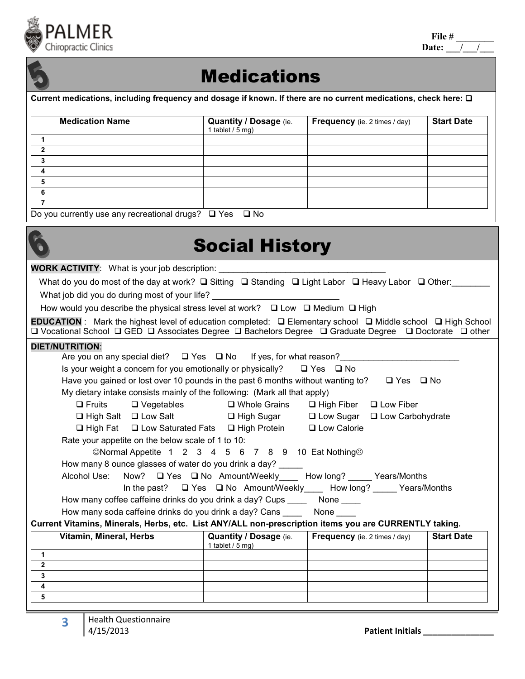

| File # |  |  |
|--------|--|--|
| Date:  |  |  |



## **Medications**

**Current medications, including frequency and dosage if known. If there are no current medications, check here:** 

|              | <b>Medication Name</b>                                  | Quantity / Dosage (ie.<br>1 tablet $/5$ mg) | <b>Frequency</b> (ie. 2 times / day) | <b>Start Date</b> |
|--------------|---------------------------------------------------------|---------------------------------------------|--------------------------------------|-------------------|
|              |                                                         |                                             |                                      |                   |
| $\mathbf{2}$ |                                                         |                                             |                                      |                   |
| 3            |                                                         |                                             |                                      |                   |
| 4            |                                                         |                                             |                                      |                   |
| 5            |                                                         |                                             |                                      |                   |
| 6            |                                                         |                                             |                                      |                   |
|              |                                                         |                                             |                                      |                   |
|              | Do you currently use any recreational drugs? $\Box$ Yes | $\square$ No                                |                                      |                   |

# Social History

**WORK ACTIVITY:** What is your job description:

What do you do most of the day at work?  $\square$  Stiting  $\square$  Standing  $\square$  Light Labor  $\square$  Heavy Labor  $\square$  Other:

What job did you do during most of your life?

How would you describe the physical stress level at work?  $\Box$  Low  $\Box$  Medium  $\Box$  High

**EDUCATION** : Mark the highest level of education completed: **□** Elementary school □ Middle school □ High School **Q** Vocational School **Q** GED **Q** Associates Degree **Q** Bachelors Degree **Q** Graduate Degree Q Doctorate Q other

### **DIET/NUTRITION**:

|                     | Are you on any special diet? $\Box$ Yes $\Box$ No If yes, for what reason?                                 |                                       |                                                                              |                   |
|---------------------|------------------------------------------------------------------------------------------------------------|---------------------------------------|------------------------------------------------------------------------------|-------------------|
|                     | Is your weight a concern for you emotionally or physically? $\Box$ Yes $\Box$ No                           |                                       |                                                                              |                   |
|                     | Have you gained or lost over 10 pounds in the past 6 months without wanting to? $\square$ Yes $\square$ No |                                       |                                                                              |                   |
|                     | My dietary intake consists mainly of the following: (Mark all that apply)                                  |                                       |                                                                              |                   |
|                     | $\Box$ Fruits                                                                                              | $\Box$ Vegetables $\Box$ Whole Grains | $\Box$ High Fiber $\Box$ Low Fiber                                           |                   |
|                     | □ High Salt □ Low Salt □ □ High Sugar □ Low Sugar □ Low Carbohydrate                                       |                                       |                                                                              |                   |
|                     | $\Box$ High Fat $\Box$ Low Saturated Fats $\Box$ High Protein $\Box$ Low Calorie                           |                                       |                                                                              |                   |
|                     | Rate your appetite on the below scale of 1 to 10:                                                          |                                       |                                                                              |                   |
|                     | ©Normal Appetite 1 2 3 4 5 6 7 8 9 10 Eat Nothing $\odot$                                                  |                                       |                                                                              |                   |
|                     | How many 8 ounce glasses of water do you drink a day?                                                      |                                       |                                                                              |                   |
|                     | Alcohol Use: Now? □ Yes □ No Amount/Weekly____ How long? _____ Years/Months                                |                                       |                                                                              |                   |
|                     |                                                                                                            |                                       | In the past? $\Box$ Yes $\Box$ No Amount/Weekly How long? _____ Years/Months |                   |
|                     | How many coffee caffeine drinks do you drink a day? Cups ______ None ____                                  |                                       |                                                                              |                   |
|                     | How many soda caffeine drinks do you drink a day? Cans _______ None _____                                  |                                       |                                                                              |                   |
|                     | Current Vitamins, Minerals, Herbs, etc. List ANY/ALL non-prescription items you are CURRENTLY taking.      |                                       |                                                                              |                   |
|                     | Vitamin, Mineral, Herbs                                                                                    | 1 tablet $/$ 5 mg)                    | <b>Quantity / Dosage (ie.   Frequency (ie. 2 times / day)</b>                | <b>Start Date</b> |
| $\mathbf{1}$        |                                                                                                            |                                       |                                                                              |                   |
| $\overline{2}$      |                                                                                                            |                                       |                                                                              |                   |
| $\mathbf{3}$        |                                                                                                            |                                       |                                                                              |                   |
| $\overline{4}$<br>5 |                                                                                                            |                                       |                                                                              |                   |
|                     |                                                                                                            |                                       |                                                                              |                   |

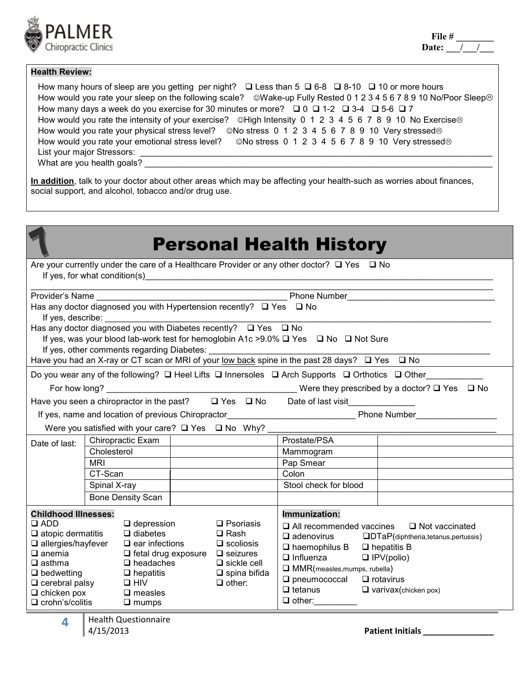

### **Health Review:**

How many hours of sleep are you getting per night?  $\Box$  Less than 5  $\Box$  6-8  $\Box$  8-10  $\Box$  10 or more hours How would you rate your sleep on the following scale?  $\heartsuit$ Wake-up Fully Rested 0 1 2 3 4 5 6 7 8 9 10 No/Poor Sleep $\otimes$ How many days a week do you exercise for 30 minutes or more?  $\Box$  0  $\Box$  1-2  $\Box$  3-4  $\Box$  5-6  $\Box$  7 How would you rate the intensity of your exercise?  $\heartsuit$ High Intensity 0 1 2 3 4 5 6 7 8 9 10 No Exercise $\heartsuit$ How would you rate your physical stress level?  $\heartsuit$  No stress 0 1 2 3 4 5 6 7 8 9 10 Very stressed $\otimes$ How would you rate your emotional stress level?  $\otimes$ No stress 0 1 2 3 4 5 6 7 8 9 10 Very stressed $\otimes$ List your major Stressors:

What are you health goals?

**In addition**, talk to your doctor about other areas which may be affecting your health-such as worries about finances, social support, and alcohol, tobacco and/or drug use.

| <b>Personal Health History</b>                                                                                                                                                                                                                                                                                                                                           |              |                                            |                                                                                                                                                                    |                                                                                                                                                                               |                                                                                                                                                                          |                                                                                                                                         |
|--------------------------------------------------------------------------------------------------------------------------------------------------------------------------------------------------------------------------------------------------------------------------------------------------------------------------------------------------------------------------|--------------|--------------------------------------------|--------------------------------------------------------------------------------------------------------------------------------------------------------------------|-------------------------------------------------------------------------------------------------------------------------------------------------------------------------------|--------------------------------------------------------------------------------------------------------------------------------------------------------------------------|-----------------------------------------------------------------------------------------------------------------------------------------|
| Are your currently under the care of a Healthcare Provider or any other doctor? $\Box$ Yes $\Box$ No<br>If yes, for what condition(s)                                                                                                                                                                                                                                    |              |                                            |                                                                                                                                                                    |                                                                                                                                                                               |                                                                                                                                                                          |                                                                                                                                         |
|                                                                                                                                                                                                                                                                                                                                                                          |              |                                            |                                                                                                                                                                    |                                                                                                                                                                               |                                                                                                                                                                          |                                                                                                                                         |
|                                                                                                                                                                                                                                                                                                                                                                          |              |                                            |                                                                                                                                                                    |                                                                                                                                                                               |                                                                                                                                                                          |                                                                                                                                         |
|                                                                                                                                                                                                                                                                                                                                                                          |              |                                            |                                                                                                                                                                    |                                                                                                                                                                               |                                                                                                                                                                          |                                                                                                                                         |
|                                                                                                                                                                                                                                                                                                                                                                          |              |                                            |                                                                                                                                                                    |                                                                                                                                                                               | If yes, was your blood lab-work test for hemoglobin A1c > 9.0% $\Box$ Yes $\Box$ No $\Box$ Not Sure                                                                      |                                                                                                                                         |
|                                                                                                                                                                                                                                                                                                                                                                          |              | If yes, other comments regarding Diabetes: |                                                                                                                                                                    |                                                                                                                                                                               |                                                                                                                                                                          |                                                                                                                                         |
|                                                                                                                                                                                                                                                                                                                                                                          |              |                                            |                                                                                                                                                                    |                                                                                                                                                                               | Have you had an X-ray or CT scan or MRI of your low back spine in the past 28 days? $\Box$ Yes $\Box$ No                                                                 |                                                                                                                                         |
|                                                                                                                                                                                                                                                                                                                                                                          |              |                                            |                                                                                                                                                                    |                                                                                                                                                                               |                                                                                                                                                                          | Do you wear any of the following? $\square$ Heel Lifts $\square$ Innersoles $\square$ Arch Supports $\square$ Orthotics $\square$ Other |
|                                                                                                                                                                                                                                                                                                                                                                          |              |                                            |                                                                                                                                                                    |                                                                                                                                                                               |                                                                                                                                                                          |                                                                                                                                         |
|                                                                                                                                                                                                                                                                                                                                                                          |              |                                            |                                                                                                                                                                    | Have you seen a chiropractor in the past? $\Box$ Yes $\Box$ No                                                                                                                | Date of last visit                                                                                                                                                       |                                                                                                                                         |
|                                                                                                                                                                                                                                                                                                                                                                          |              |                                            |                                                                                                                                                                    |                                                                                                                                                                               |                                                                                                                                                                          |                                                                                                                                         |
|                                                                                                                                                                                                                                                                                                                                                                          |              |                                            |                                                                                                                                                                    | Were you satisfied with your care? $\Box$ Yes $\Box$ No Why?                                                                                                                  |                                                                                                                                                                          |                                                                                                                                         |
| Date of last:                                                                                                                                                                                                                                                                                                                                                            |              | Chiropractic Exam                          |                                                                                                                                                                    |                                                                                                                                                                               | Prostate/PSA                                                                                                                                                             |                                                                                                                                         |
|                                                                                                                                                                                                                                                                                                                                                                          | Cholesterol  |                                            |                                                                                                                                                                    |                                                                                                                                                                               | Mammogram                                                                                                                                                                |                                                                                                                                         |
|                                                                                                                                                                                                                                                                                                                                                                          | <b>MRI</b>   |                                            |                                                                                                                                                                    |                                                                                                                                                                               | Pap Smear                                                                                                                                                                |                                                                                                                                         |
|                                                                                                                                                                                                                                                                                                                                                                          | CT-Scan      |                                            |                                                                                                                                                                    |                                                                                                                                                                               | Colon                                                                                                                                                                    |                                                                                                                                         |
|                                                                                                                                                                                                                                                                                                                                                                          | Spinal X-ray |                                            |                                                                                                                                                                    |                                                                                                                                                                               | Stool check for blood                                                                                                                                                    |                                                                                                                                         |
|                                                                                                                                                                                                                                                                                                                                                                          |              | <b>Bone Density Scan</b>                   |                                                                                                                                                                    |                                                                                                                                                                               |                                                                                                                                                                          |                                                                                                                                         |
| <b>Childhood Illnesses:</b>                                                                                                                                                                                                                                                                                                                                              |              |                                            |                                                                                                                                                                    |                                                                                                                                                                               | Immunization:                                                                                                                                                            |                                                                                                                                         |
| $\Box$ ADD<br>$\Box$ depression<br>$\Box$ diabetes<br>$\square$ atopic dermatitis<br>$\Box$ allergies/hayfever<br>$\square$ ear infections<br>$\Box$ anemia<br>$\Box$ headaches<br>$\square$ asthma<br>$\Box$ bedwetting<br>$\Box$ hepatitis<br>$\square$ cerebral palsy<br>$\Box$ HIV<br>$\Box$ measles<br>$\Box$ chicken pox<br>$\Box$ crohn's/colitis<br>$\Box$ mumps |              |                                            | $\Box$ Psoriasis<br>$\Box$ Rash<br>$\Box$ scoliosis<br>$\Box$ fetal drug exposure $\Box$ seizures<br>$\Box$ sickle cell<br>$\square$ spina bifida<br>$\Box$ other: | $\Box$ haemophilus B $\Box$ hepatitis B<br>$\Box$ Influenza<br>$\Box$ MMR(measles, mumps, rubella)<br>$\Box$ pneumococcal $\Box$ rotavirus<br>$\Box$ tetanus<br>$\Box$ other: | $\Box$ All recommended vaccines $\Box$ Not vaccinated<br>$\Box$ adenovirus $\Box$ DTaP(diphtheria,tetanus,pertussis)<br>$\Box$ IPV(polio)<br>$\Box$ varivax(chicken pox) |                                                                                                                                         |

**4 Health Questionnaire**<br>4/15/2013

**Patient Initials**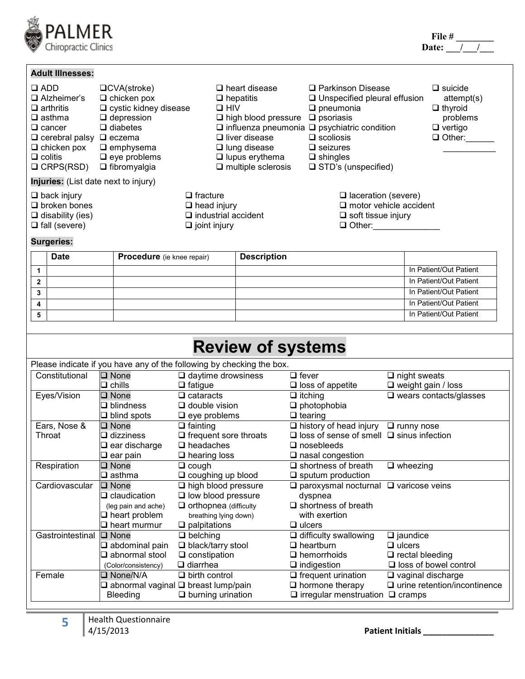

|              | <b>Adult Illnesses:</b>                                                                                                                                                     |                                                                                                                                                                                       |            |                                                                                                                                                                             |                                                                                                                                                                                                                                                                  |                                                                                               |
|--------------|-----------------------------------------------------------------------------------------------------------------------------------------------------------------------------|---------------------------------------------------------------------------------------------------------------------------------------------------------------------------------------|------------|-----------------------------------------------------------------------------------------------------------------------------------------------------------------------------|------------------------------------------------------------------------------------------------------------------------------------------------------------------------------------------------------------------------------------------------------------------|-----------------------------------------------------------------------------------------------|
| $\Box$ ADD   | $\Box$ Alzheimer's<br>$\Box$ arthritis<br>$\Box$ asthma<br>$\Box$ cancer<br>$\Box$ cerebral palsy $\Box$ eczema<br>$\Box$ chicken pox<br>$\Box$ colitis<br>$\Box$ CRPS(RSD) | $\Box$ CVA(stroke)<br>$\Box$ chicken pox<br>$\square$ cystic kidney disease<br>$\Box$ depression<br>$\Box$ diabetes<br>$\Box$ emphysema<br>$\Box$ eye problems<br>$\Box$ fibromyalgia | $\Box$ HIV | $\Box$ heart disease<br>$\Box$ hepatitis<br>$\Box$ high blood pressure<br>$\Box$ liver disease<br>$\Box$ lung disease<br>$\Box$ lupus erythema<br>$\Box$ multiple sclerosis | $\Box$ Parkinson Disease<br>$\square$ Unspecified pleural effusion<br>$\Box$ pneumonia<br>$\square$ psoriasis<br>$\Box$ influenza pneumonia $\Box$ psychiatric condition<br>$\Box$ scoliosis<br>$\Box$ seizures<br>$\Box$ shingles<br>$\Box$ STD's (unspecified) | $\Box$ suicide<br>attempt(s)<br>$\Box$ thyroid<br>problems<br>$\Box$ vertigo<br>$\Box$ Other: |
|              | Injuries: (List date next to injury)                                                                                                                                        |                                                                                                                                                                                       |            |                                                                                                                                                                             |                                                                                                                                                                                                                                                                  |                                                                                               |
|              | $\Box$ back injury<br>$\Box$ broken bones<br>$\Box$ disability (ies)<br>$\Box$ fall (severe)                                                                                | $\Box$ fracture<br>$\Box$ head injury<br>$\Box$ joint injury                                                                                                                          |            | $\Box$ industrial accident                                                                                                                                                  | $\Box$ laceration (severe)<br>$\Box$ motor vehicle accident<br>$\Box$ soft tissue injury<br>$\Box$ Other:                                                                                                                                                        |                                                                                               |
|              | <b>Surgeries:</b>                                                                                                                                                           |                                                                                                                                                                                       |            |                                                                                                                                                                             |                                                                                                                                                                                                                                                                  |                                                                                               |
|              | <b>Date</b>                                                                                                                                                                 | <b>Procedure</b> (ie knee repair)                                                                                                                                                     |            | <b>Description</b>                                                                                                                                                          |                                                                                                                                                                                                                                                                  |                                                                                               |
| 1            |                                                                                                                                                                             |                                                                                                                                                                                       |            |                                                                                                                                                                             |                                                                                                                                                                                                                                                                  | In Patient/Out Patient                                                                        |
| $\mathbf{2}$ |                                                                                                                                                                             |                                                                                                                                                                                       |            |                                                                                                                                                                             |                                                                                                                                                                                                                                                                  | In Patient/Out Patient                                                                        |

**3** In Patient/Out Patient

**4** In Patient/Out Patient **5** In Patient/Out Patient

| <b>Review of systems</b> |                                                                       |                                                       |                                                      |                                             |  |  |  |  |  |
|--------------------------|-----------------------------------------------------------------------|-------------------------------------------------------|------------------------------------------------------|---------------------------------------------|--|--|--|--|--|
|                          | Please indicate if you have any of the following by checking the box. |                                                       |                                                      |                                             |  |  |  |  |  |
| Constitutional           | $\square$ None                                                        | $\Box$ daytime drowsiness                             | $\Box$ fever                                         | $\Box$ night sweats                         |  |  |  |  |  |
|                          | $\square$ chills                                                      | $\Box$ fatigue                                        | $\square$ loss of appetite                           | $\square$ weight gain / loss                |  |  |  |  |  |
| Eyes/Vision              | $\square$ None                                                        | $\Box$ cataracts                                      | $\Box$ itching                                       | $\overline{\square}$ wears contacts/glasses |  |  |  |  |  |
|                          | $\square$ blindness                                                   | $\Box$ double vision                                  | $\Box$ photophobia                                   |                                             |  |  |  |  |  |
|                          | $\Box$ blind spots                                                    | $\Box$ eye problems                                   | $\Box$ tearing                                       |                                             |  |  |  |  |  |
| Ears, Nose &             | $\Box$ None                                                           | $\Box$ fainting                                       | $\Box$ history of head injury                        | $\Box$ runny nose                           |  |  |  |  |  |
| Throat                   | dizziness                                                             | $\Box$ frequent sore throats                          | $\Box$ loss of sense of smell $\Box$ sinus infection |                                             |  |  |  |  |  |
|                          | $\square$ ear discharge                                               | $\square$ headaches                                   | $\square$ nosebleeds                                 |                                             |  |  |  |  |  |
|                          | $\Box$ ear pain                                                       | $\Box$ hearing loss                                   | $\square$ nasal congestion                           |                                             |  |  |  |  |  |
| Respiration              | None                                                                  | $\Box$ cough                                          | $\Box$ shortness of breath                           | $\Box$ wheezing                             |  |  |  |  |  |
|                          | $\square$ asthma                                                      | $\Box$ coughing up blood                              | $\Box$ sputum production                             |                                             |  |  |  |  |  |
| Cardiovascular           | $\Box$ None                                                           | $\Box$ high blood pressure                            | $\Box$ paroxysmal nocturnal $\Box$ varicose veins    |                                             |  |  |  |  |  |
|                          | $\Box$ claudication                                                   | $\Box$ low blood pressure                             | dyspnea                                              |                                             |  |  |  |  |  |
|                          | (leg pain and ache)                                                   | $\Box$ orthopnea (difficulty                          | $\square$ shortness of breath                        |                                             |  |  |  |  |  |
|                          | $\Box$ heart problem                                                  | breathing lying down)                                 | with exertion                                        |                                             |  |  |  |  |  |
|                          | $\square$ heart murmur                                                | $\Box$ palpitations                                   | $\Box$ ulcers                                        |                                             |  |  |  |  |  |
| Gastrointestinal         | $\square$ None                                                        | $\Box$ belching                                       | $\Box$ difficulty swallowing                         | $\Box$ jaundice                             |  |  |  |  |  |
|                          | $\Box$ abdominal pain                                                 | $\Box$ black/tarry stool                              | $\Box$ heartburn                                     | $\Box$ ulcers                               |  |  |  |  |  |
|                          | $\Box$ abnormal stool                                                 | $\square$ constipation                                | $\Box$ hemorrhoids                                   | $\Box$ rectal bleeding                      |  |  |  |  |  |
|                          | (Color/consistency)                                                   | $\Box$ diarrhea                                       | $\Box$ indigestion                                   | $\square$ loss of bowel control             |  |  |  |  |  |
| Female                   | $\square$ None/N/A                                                    | $\Box$ birth control                                  | $\Box$ frequent urination                            | $\Box$ vaginal discharge                    |  |  |  |  |  |
|                          |                                                                       | $\square$ abnormal vaginal $\square$ breast lump/pain | $\Box$ hormone therapy                               | $\Box$ urine retention/incontinence         |  |  |  |  |  |
|                          | Bleeding                                                              | $\Box$ burning urination                              | $\Box$ irregular menstruation $\Box$ cramps          |                                             |  |  |  |  |  |
|                          |                                                                       |                                                       |                                                      |                                             |  |  |  |  |  |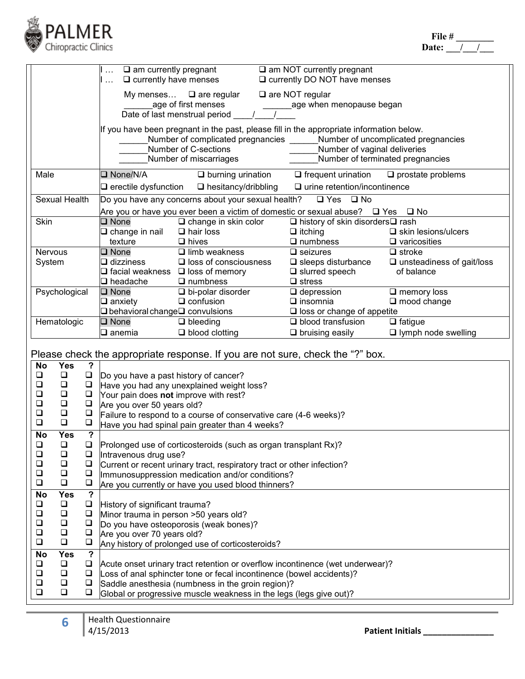

|                                                                                                                                                                                                                                                                                                |                                                                                                                                               |                                                                            | $\Box$ $\Box$ am currently pregnant<br>$\Box$ currently have menses<br>المنبرا                                                                                                                                                                                                  |                                                                                       | $\square$ am NOT currently pregnant<br>Q currently DO NOT have menses                                                                                              |  |  |  |
|------------------------------------------------------------------------------------------------------------------------------------------------------------------------------------------------------------------------------------------------------------------------------------------------|-----------------------------------------------------------------------------------------------------------------------------------------------|----------------------------------------------------------------------------|---------------------------------------------------------------------------------------------------------------------------------------------------------------------------------------------------------------------------------------------------------------------------------|---------------------------------------------------------------------------------------|--------------------------------------------------------------------------------------------------------------------------------------------------------------------|--|--|--|
|                                                                                                                                                                                                                                                                                                | My menses $\Box$ are regular<br>$\Box$ are NOT regular<br>age of first menses<br>age when menopause began<br>Date of last menstrual period __ |                                                                            |                                                                                                                                                                                                                                                                                 |                                                                                       |                                                                                                                                                                    |  |  |  |
| If you have been pregnant in the past, please fill in the appropriate information below.<br>Number of complicated pregnancies _______Number of uncomplicated pregnancies<br>Number of C-sections<br>Number of vaginal deliveries<br>Number of miscarriages<br>Number of terminated pregnancies |                                                                                                                                               |                                                                            |                                                                                                                                                                                                                                                                                 |                                                                                       |                                                                                                                                                                    |  |  |  |
| Male                                                                                                                                                                                                                                                                                           |                                                                                                                                               |                                                                            | $\Box$ None/N/A                                                                                                                                                                                                                                                                 | $\Box$ burning urination                                                              | $\Box$ frequent urination<br>$\Box$ prostate problems                                                                                                              |  |  |  |
|                                                                                                                                                                                                                                                                                                | Sexual Health                                                                                                                                 |                                                                            | $\Box$ erectile dysfunction $\Box$ hesitancy/dribbling<br>Do you have any concerns about your sexual health?                                                                                                                                                                    |                                                                                       | $\Box$ urine retention/incontinence<br>$\Box$ Yes $\Box$ No                                                                                                        |  |  |  |
|                                                                                                                                                                                                                                                                                                |                                                                                                                                               |                                                                            |                                                                                                                                                                                                                                                                                 |                                                                                       | Are you or have you ever been a victim of domestic or sexual abuse? $\Box$ Yes $\Box$ No                                                                           |  |  |  |
| Skin                                                                                                                                                                                                                                                                                           |                                                                                                                                               |                                                                            | $\square$ None<br>$\square$ change in nail<br>texture                                                                                                                                                                                                                           | $\Box$ change in skin color<br>$\Box$ hair loss<br>$\Box$ hives                       | □ history of skin disorders□ rash<br>$\Box$ itching<br>$\Box$ skin lesions/ulcers<br>$\Box$ numbness<br>$\Box$ varicosities                                        |  |  |  |
| <b>Nervous</b><br>System                                                                                                                                                                                                                                                                       |                                                                                                                                               |                                                                            | $\square$ None<br>$\square$ dizziness<br>$\Box$ facial weakness $\Box$ loss of memory<br>$\square$ headache                                                                                                                                                                     | $\overline{\Box}$ limb weakness<br>$\square$ loss of consciousness<br>$\Box$ numbness | $\Box$ seizures<br>$\Box$ stroke<br>$\square$ sleeps disturbance<br>$\square$ unsteadiness of gait/loss<br>$\square$ slurred speech<br>of balance<br>$\Box$ stress |  |  |  |
|                                                                                                                                                                                                                                                                                                | Psychological                                                                                                                                 |                                                                            | $\square$ None<br>$\square$ anxiety<br>$\Box$ behavioral change $\Box$ convulsions                                                                                                                                                                                              | $\Box$ bi-polar disorder<br>$\Box$ confusion                                          | $\Box$ depression<br>$\square$ memory loss<br>$\Box$ insomnia<br>$\square$ mood change<br>$\square$ loss or change of appetite                                     |  |  |  |
|                                                                                                                                                                                                                                                                                                | Hematologic                                                                                                                                   |                                                                            | $\square$ None<br>$\Box$ anemia                                                                                                                                                                                                                                                 | $\Box$ bleeding<br>$\Box$ blood clotting                                              | $\Box$ fatigue<br>$\Box$ blood transfusion<br>I lymph node swelling<br>$\Box$ bruising easily                                                                      |  |  |  |
|                                                                                                                                                                                                                                                                                                |                                                                                                                                               |                                                                            |                                                                                                                                                                                                                                                                                 |                                                                                       | Please check the appropriate response. If you are not sure, check the "?" box.                                                                                     |  |  |  |
| <b>No</b><br>❏<br>$\Box$<br>$\Box$<br>$\Box$<br>$\Box$<br>$\Box$                                                                                                                                                                                                                               | <b>Yes</b><br>$\Box$<br>$\Box$<br>$\Box$<br>$\Box$<br>$\Box$<br>$\Box$                                                                        | $\overline{?}$<br>$\Box$<br>$\Box$<br>$\Box$<br>$\Box$<br>$\Box$<br>$\Box$ | Do you have a past history of cancer?<br>Have you had any unexplained weight loss?<br>Your pain does not improve with rest?<br>Are you over 50 years old?<br>Failure to respond to a course of conservative care (4-6 weeks)?<br>Have you had spinal pain greater than 4 weeks? |                                                                                       |                                                                                                                                                                    |  |  |  |
| <b>No</b><br>❏<br>❏<br>$\Box$<br>❏<br>❏                                                                                                                                                                                                                                                        | <b>Yes</b><br>$\Box$<br>$\Box$<br>$\Box$<br>$\Box$<br>$\Box$                                                                                  | $\overline{?}$<br>❏<br>❏<br>$\Box$<br>$\Box$<br>$\Box$                     | Prolonged use of corticosteroids (such as organ transplant Rx)?<br>Intravenous drug use?<br>Current or recent urinary tract, respiratory tract or other infection?<br>Immunosuppression medication and/or conditions?<br>Are you currently or have you used blood thinners?     |                                                                                       |                                                                                                                                                                    |  |  |  |
| <b>No</b><br>❏<br>$\Box$<br>$\Box$<br>$\Box$<br>$\Box$                                                                                                                                                                                                                                         | <b>Yes</b><br>$\Box$<br>$\Box$<br>$\Box$<br>$\Box$<br>$\Box$                                                                                  | $\overline{\mathbf{2}}$<br>❏<br>$\Box$<br>$\Box$<br>$\Box$<br>$\Box$       | History of significant trauma?<br>Minor trauma in person >50 years old?<br>Do you have osteoporosis (weak bones)?<br>Are you over 70 years old?<br>Any history of prolonged use of corticosteroids?                                                                             |                                                                                       |                                                                                                                                                                    |  |  |  |
| <b>No</b><br>❏<br>$\Box$<br>$\Box$<br>$\Box$                                                                                                                                                                                                                                                   | <b>Yes</b><br>$\Box$<br>$\Box$<br>$\Box$<br>$\Box$                                                                                            | $\overline{\mathbf{?}}$<br>$\Box$<br>$\Box$<br>$\Box$<br>❏                 | Saddle anesthesia (numbness in the groin region)?<br>Global or progressive muscle weakness in the legs (legs give out)?                                                                                                                                                         |                                                                                       | Acute onset urinary tract retention or overflow incontinence (wet underwear)?<br>Loss of anal sphincter tone or fecal incontinence (bowel accidents)?              |  |  |  |

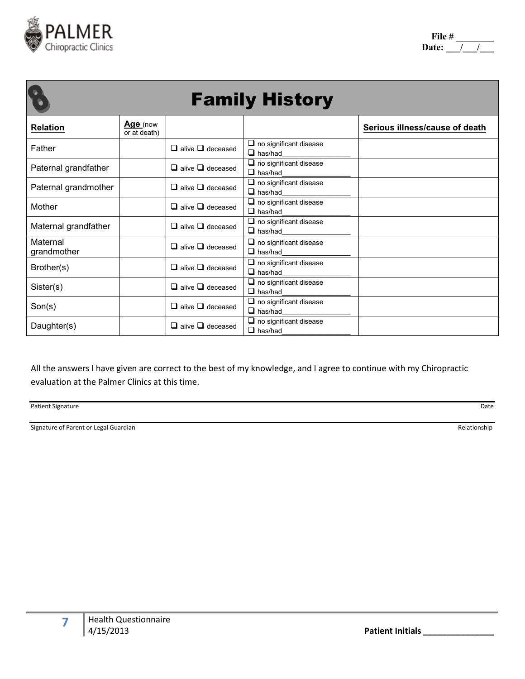

|                         |                          |                              | <b>Family History</b>                              |                                |
|-------------------------|--------------------------|------------------------------|----------------------------------------------------|--------------------------------|
| <b>Relation</b>         | Age (now<br>or at death) |                              |                                                    | Serious illness/cause of death |
| Father                  |                          | $\Box$ alive $\Box$ deceased | $\Box$ no significant disease<br>$\Box$ has/had    |                                |
| Paternal grandfather    |                          | $\Box$ alive $\Box$ deceased | $\square$ no significant disease<br>$\Box$ has/had |                                |
| Paternal grandmother    |                          | $\Box$ alive $\Box$ deceased | $\Box$ no significant disease<br>$\Box$ has/had    |                                |
| Mother                  |                          | $\Box$ alive $\Box$ deceased | $\Box$ no significant disease<br>$\Box$ has/had    |                                |
| Maternal grandfather    |                          | $\Box$ alive $\Box$ deceased | $\Box$ no significant disease<br>$\Box$ has/had    |                                |
| Maternal<br>grandmother |                          | $\Box$ alive $\Box$ deceased | $\Box$ no significant disease<br>$\Box$ has/had    |                                |
| Brother(s)              |                          | $\Box$ alive $\Box$ deceased | $\Box$ no significant disease<br>$\Box$ has/had    |                                |
| Sister(s)               |                          | $\Box$ alive $\Box$ deceased | $\Box$ no significant disease<br>$\Box$ has/had    |                                |
| Son(s)                  |                          | $\Box$ alive $\Box$ deceased | $\Box$ no significant disease<br>$\Box$ has/had    |                                |
| Daughter(s)             |                          | $\Box$ alive $\Box$ deceased | $\Box$ no significant disease<br>$\Box$ has/had    |                                |

All the answers I have given are correct to the best of my knowledge, and I agree to continue with my Chiropractic evaluation at the Palmer Clinics at this time.

Patient Signature Date

Signature of Parent or Legal Guardian Relationship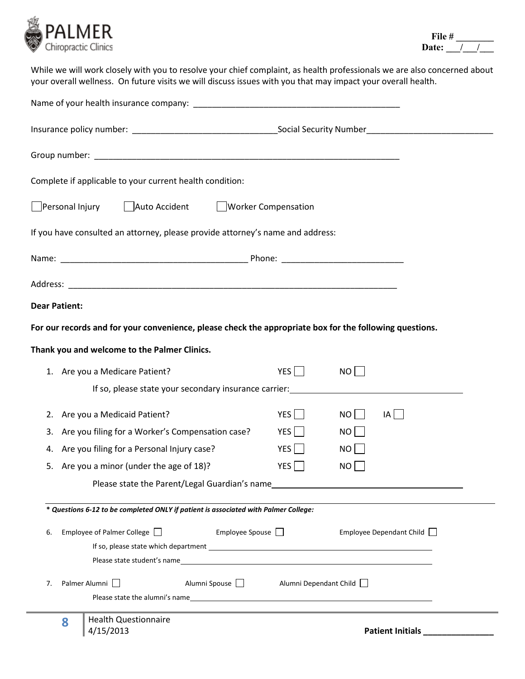

While we will work closely with you to resolve your chief complaint, as health professionals we are also concerned about your overall wellness. On future visits we will discuss issues with you that may impact your overall health.

| Complete if applicable to your current health condition:                                                |                        |                                                          |
|---------------------------------------------------------------------------------------------------------|------------------------|----------------------------------------------------------|
| Personal Injury<br>Auto Accident Morker Compensation                                                    |                        |                                                          |
| If you have consulted an attorney, please provide attorney's name and address:                          |                        |                                                          |
|                                                                                                         |                        |                                                          |
|                                                                                                         |                        |                                                          |
| <b>Dear Patient:</b>                                                                                    |                        |                                                          |
| For our records and for your convenience, please check the appropriate box for the following questions. |                        |                                                          |
| Thank you and welcome to the Palmer Clinics.                                                            |                        |                                                          |
| 1. Are you a Medicare Patient?                                                                          | YES $\Box$             | NO                                                       |
| If so, please state your secondary insurance carrier:                                                   |                        |                                                          |
| Are you a Medicaid Patient?<br>2.                                                                       | $YES$                  | $NO$    <br> A                                           |
| Are you filing for a Worker's Compensation case?<br>3.                                                  | YES                    | $NO$                                                     |
| Are you filing for a Personal Injury case?<br>4.                                                        | YES $\Box$             | $NO$                                                     |
| Are you a minor (under the age of 18)?<br>5.                                                            | $YES$                  | NO                                                       |
| Please state the Parent/Legal Guardian's name                                                           |                        | <u> 1980 - Jan Stein Stein, fransk politik (f. 1980)</u> |
| * Questions 6-12 to be completed ONLY if patient is associated with Palmer College:                     |                        |                                                          |
| Employee Spouse $\Box$                                                                                  |                        |                                                          |
| Employee of Palmer College<br>6.                                                                        |                        | Employee Dependant Child                                 |
| Please state student's name                                                                             |                        |                                                          |
| Palmer Alumni  <br>Alumni Spouse<br>7.                                                                  | Alumni Dependant Child |                                                          |
|                                                                                                         |                        |                                                          |
| <b>Health Questionnaire</b><br>8<br>4/15/2013                                                           |                        | Patient Initials                                         |